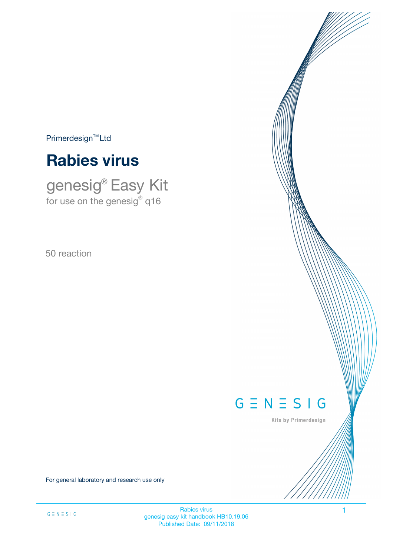$Primerdesign^{\text{TM}}Ltd$ 

# **Rabies virus**

genesig® Easy Kit for use on the genesig $^\circ$  q16

50 reaction

# $G \equiv N \equiv S \mid G$

Kits by Primerdesign

For general laboratory and research use only

Rabies virus 1 genesig easy kit handbook HB10.19.06 Published Date: 09/11/2018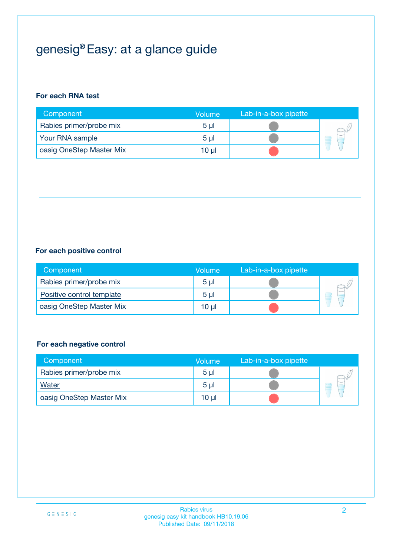# genesig® Easy: at a glance guide

### **For each RNA test**

| Component                | <b>Volume</b>  | Lab-in-a-box pipette |  |
|--------------------------|----------------|----------------------|--|
| Rabies primer/probe mix  | 5 <sub>µ</sub> |                      |  |
| Your RNA sample          | 5 <sub>µ</sub> |                      |  |
| oasig OneStep Master Mix | 10 µl          |                      |  |

### **For each positive control**

| Component                 | Volume         | Lab-in-a-box pipette |  |
|---------------------------|----------------|----------------------|--|
| Rabies primer/probe mix   | 5 <sub>µ</sub> |                      |  |
| Positive control template | 5 <sub>µ</sub> |                      |  |
| oasig OneStep Master Mix  | 10 µl          |                      |  |

#### **For each negative control**

| Component                | <b>Volume</b>   | Lab-in-a-box pipette |   |
|--------------------------|-----------------|----------------------|---|
| Rabies primer/probe mix  | 5 <sub>µ</sub>  |                      |   |
| Water                    | 5 <sub>µ</sub>  |                      | - |
| oasig OneStep Master Mix | 10 <sub>µ</sub> |                      |   |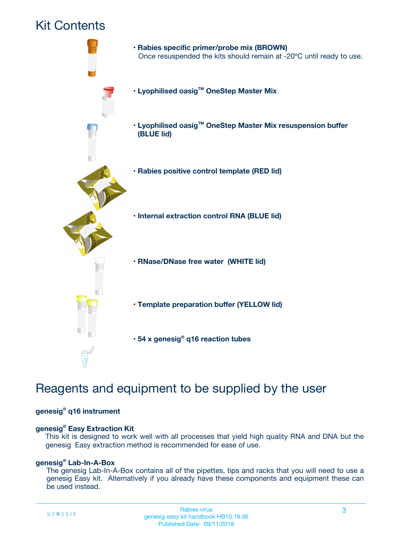## Kit Contents



## Reagents and equipment to be supplied by the user

#### **genesig® q16 instrument**

#### **genesig® Easy Extraction Kit**

This kit is designed to work well with all processes that yield high quality RNA and DNA but the genesig Easy extraction method is recommended for ease of use.

#### **genesig® Lab-In-A-Box**

The genesig Lab-In-A-Box contains all of the pipettes, tips and racks that you will need to use a genesig Easy kit. Alternatively if you already have these components and equipment these can be used instead.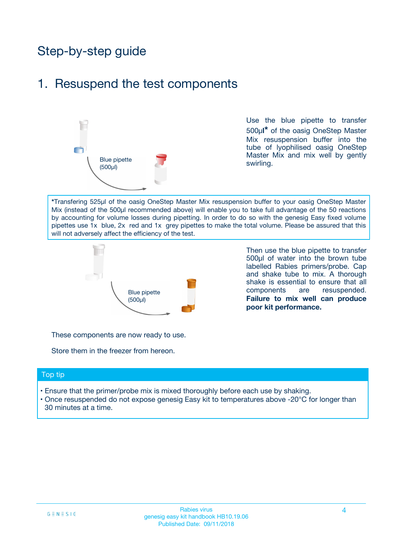## Step-by-step guide

### 1. Resuspend the test components



Use the blue pipette to transfer 500µ**l\*** of the oasig OneStep Master Mix resuspension buffer into the tube of lyophilised oasig OneStep Master Mix and mix well by gently swirling.

**\***Transfering 525µl of the oasig OneStep Master Mix resuspension buffer to your oasig OneStep Master Mix (instead of the 500µl recommended above) will enable you to take full advantage of the 50 reactions by accounting for volume losses during pipetting. In order to do so with the genesig Easy fixed volume pipettes use 1x blue, 2x red and 1x grey pipettes to make the total volume. Please be assured that this will not adversely affect the efficiency of the test.



Then use the blue pipette to transfer 500µl of water into the brown tube labelled Rabies primers/probe. Cap and shake tube to mix. A thorough shake is essential to ensure that all components are resuspended. **Failure to mix well can produce poor kit performance.**

These components are now ready to use.

Store them in the freezer from hereon.

#### Top tip

- Ensure that the primer/probe mix is mixed thoroughly before each use by shaking.
- Once resuspended do not expose genesig Easy kit to temperatures above -20°C for longer than 30 minutes at a time.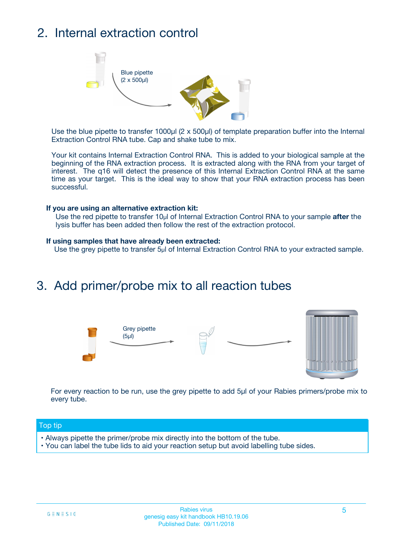## 2. Internal extraction control



Use the blue pipette to transfer 1000µl (2 x 500µl) of template preparation buffer into the Internal Extraction Control RNA tube. Cap and shake tube to mix.

Your kit contains Internal Extraction Control RNA. This is added to your biological sample at the beginning of the RNA extraction process. It is extracted along with the RNA from your target of interest. The q16 will detect the presence of this Internal Extraction Control RNA at the same time as your target. This is the ideal way to show that your RNA extraction process has been successful.

#### **If you are using an alternative extraction kit:**

Use the red pipette to transfer 10µl of Internal Extraction Control RNA to your sample **after** the lysis buffer has been added then follow the rest of the extraction protocol.

#### **If using samples that have already been extracted:**

Use the grey pipette to transfer 5µl of Internal Extraction Control RNA to your extracted sample.

### 3. Add primer/probe mix to all reaction tubes





For every reaction to be run, use the grey pipette to add 5µl of your Rabies primers/probe mix to every tube.

#### Top tip

- Always pipette the primer/probe mix directly into the bottom of the tube.
- You can label the tube lids to aid your reaction setup but avoid labelling tube sides.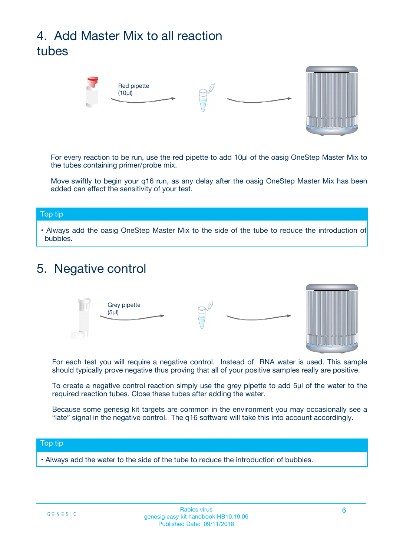# 4. Add Master Mix to all reaction tubes



For every reaction to be run, use the red pipette to add 10µl of the oasig OneStep Master Mix to the tubes containing primer/probe mix.

Move swiftly to begin your q16 run, as any delay after the oasig OneStep Master Mix has been added can effect the sensitivity of your test.

#### Top tip

**•** Always add the oasig OneStep Master Mix to the side of the tube to reduce the introduction of bubbles.

### 5. Negative control



For each test you will require a negative control. Instead of RNA water is used. This sample should typically prove negative thus proving that all of your positive samples really are positive.

To create a negative control reaction simply use the grey pipette to add 5µl of the water to the required reaction tubes. Close these tubes after adding the water.

Because some genesig kit targets are common in the environment you may occasionally see a "late" signal in the negative control. The q16 software will take this into account accordingly.

#### Top tip

**•** Always add the water to the side of the tube to reduce the introduction of bubbles.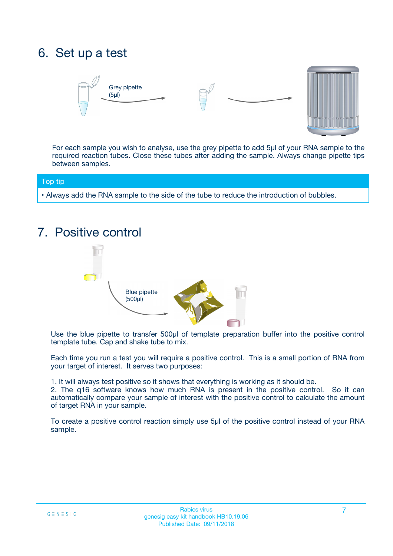## 6. Set up a test





For each sample you wish to analyse, use the grey pipette to add 5µl of your RNA sample to the required reaction tubes. Close these tubes after adding the sample. Always change pipette tips between samples.

#### Top tip

**•** Always add the RNA sample to the side of the tube to reduce the introduction of bubbles.

## 7. Positive control



Use the blue pipette to transfer 500µl of template preparation buffer into the positive control template tube. Cap and shake tube to mix.

Each time you run a test you will require a positive control. This is a small portion of RNA from your target of interest. It serves two purposes:

1. It will always test positive so it shows that everything is working as it should be.

2. The q16 software knows how much RNA is present in the positive control. So it can automatically compare your sample of interest with the positive control to calculate the amount of target RNA in your sample.

To create a positive control reaction simply use 5µl of the positive control instead of your RNA sample.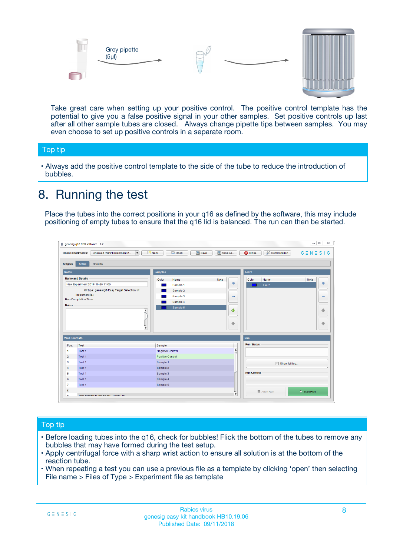



Take great care when setting up your positive control. The positive control template has the potential to give you a false positive signal in your other samples. Set positive controls up last after all other sample tubes are closed. Always change pipette tips between samples. You may even choose to set up positive controls in a separate room.

#### Top tip

**•** Always add the positive control template to the side of the tube to reduce the introduction of bubbles.

## 8. Running the test

Place the tubes into the correct positions in your q16 as defined by the software, this may include positioning of empty tubes to ensure that the q16 lid is balanced. The run can then be started.

|                         | genesig q16 PCR software - 1.2<br><b>Open Experiments:</b><br>Unsaved (New Experiment 2<br>$\blacktriangledown$                                                                                      | <b>E</b> Open<br>Save<br>$\sqrt{2}$ New                                   | $\Box$<br>Save As<br>$G \equiv N \equiv S \mid G$<br><b>B</b> Close<br><b>X</b> Configuration                    |
|-------------------------|------------------------------------------------------------------------------------------------------------------------------------------------------------------------------------------------------|---------------------------------------------------------------------------|------------------------------------------------------------------------------------------------------------------|
| Stages:<br><b>Notes</b> | Setup<br><b>Results</b>                                                                                                                                                                              | <b>Samples</b>                                                            |                                                                                                                  |
| <b>Notes</b>            | <b>Name and Details</b><br>New Experiment 2017-10-26 11:06<br>Kit type: genesig® Easy Target Detection kit<br>Instrument Id.:<br>Run Completion Time:<br>$\blacktriangle$<br>$\overline{\mathbf{v}}$ | Color<br>Name<br>Sample 1<br>Sample 2<br>Sample 3<br>Sample 4<br>Sample 5 | <b>Tests</b><br>Note<br>Color<br>Note<br>Name<br>على<br>4<br>Test 1<br>$\equiv$<br>$\equiv$<br>一个<br>借<br>÷<br>⊕ |
| <b>Well Contents</b>    |                                                                                                                                                                                                      |                                                                           | Run                                                                                                              |
| Pos.                    | Test                                                                                                                                                                                                 | Sample                                                                    | <b>Run Status</b>                                                                                                |
| $\blacktriangleleft$    | Test 1                                                                                                                                                                                               | Negative Control                                                          | $\blacktriangle$                                                                                                 |
| $\overline{2}$          | Test 1                                                                                                                                                                                               | Positive Control                                                          |                                                                                                                  |
| 3                       | Test 1                                                                                                                                                                                               | Sample 1                                                                  | Show full log                                                                                                    |
| $\overline{4}$          | Test 1                                                                                                                                                                                               | Sample 2                                                                  |                                                                                                                  |
| 5                       | Test 1                                                                                                                                                                                               | Sample 3                                                                  | <b>Run Control</b>                                                                                               |
| 6                       | Test <sub>1</sub>                                                                                                                                                                                    | Sample 4                                                                  |                                                                                                                  |
| $\overline{7}$          | Test 1                                                                                                                                                                                               | Sample 5                                                                  |                                                                                                                  |
| 8                       |                                                                                                                                                                                                      |                                                                           | $\triangleright$ Start Run<br>■ Abort Run                                                                        |
|                         |                                                                                                                                                                                                      |                                                                           | $\overline{\mathbf{v}}$                                                                                          |

#### Top tip

- Before loading tubes into the q16, check for bubbles! Flick the bottom of the tubes to remove any bubbles that may have formed during the test setup.
- Apply centrifugal force with a sharp wrist action to ensure all solution is at the bottom of the reaction tube.
- When repeating a test you can use a previous file as a template by clicking 'open' then selecting File name > Files of Type > Experiment file as template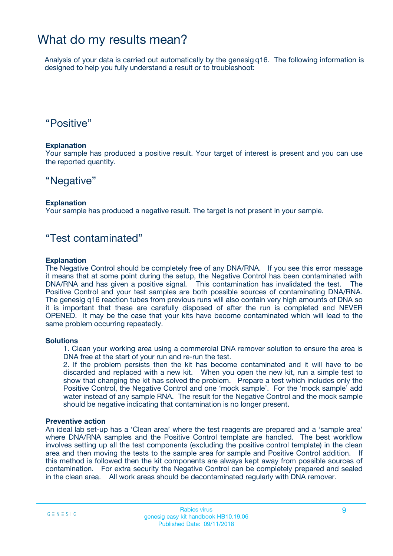### What do my results mean?

Analysis of your data is carried out automatically by the genesig q16. The following information is designed to help you fully understand a result or to troubleshoot:

### "Positive"

#### **Explanation**

Your sample has produced a positive result. Your target of interest is present and you can use the reported quantity.

### "Negative"

#### **Explanation**

Your sample has produced a negative result. The target is not present in your sample.

### "Test contaminated"

#### **Explanation**

The Negative Control should be completely free of any DNA/RNA. If you see this error message it means that at some point during the setup, the Negative Control has been contaminated with DNA/RNA and has given a positive signal. This contamination has invalidated the test. The Positive Control and your test samples are both possible sources of contaminating DNA/RNA. The genesig q16 reaction tubes from previous runs will also contain very high amounts of DNA so it is important that these are carefully disposed of after the run is completed and NEVER OPENED. It may be the case that your kits have become contaminated which will lead to the same problem occurring repeatedly.

#### **Solutions**

1. Clean your working area using a commercial DNA remover solution to ensure the area is DNA free at the start of your run and re-run the test.

2. If the problem persists then the kit has become contaminated and it will have to be discarded and replaced with a new kit. When you open the new kit, run a simple test to show that changing the kit has solved the problem. Prepare a test which includes only the Positive Control, the Negative Control and one 'mock sample'. For the 'mock sample' add water instead of any sample RNA. The result for the Negative Control and the mock sample should be negative indicating that contamination is no longer present.

#### **Preventive action**

An ideal lab set-up has a 'Clean area' where the test reagents are prepared and a 'sample area' where DNA/RNA samples and the Positive Control template are handled. The best workflow involves setting up all the test components (excluding the positive control template) in the clean area and then moving the tests to the sample area for sample and Positive Control addition. If this method is followed then the kit components are always kept away from possible sources of contamination. For extra security the Negative Control can be completely prepared and sealed in the clean area. All work areas should be decontaminated regularly with DNA remover.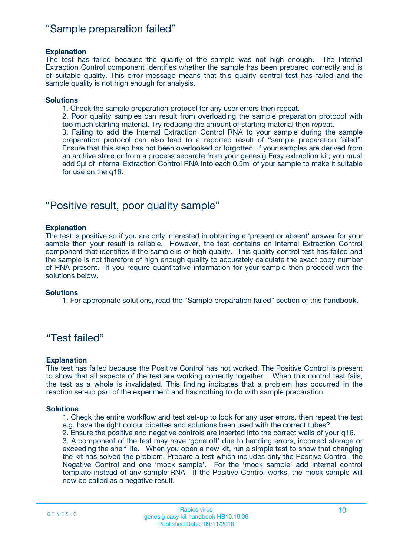### "Sample preparation failed"

#### **Explanation**

The test has failed because the quality of the sample was not high enough. The Internal Extraction Control component identifies whether the sample has been prepared correctly and is of suitable quality. This error message means that this quality control test has failed and the sample quality is not high enough for analysis.

#### **Solutions**

1. Check the sample preparation protocol for any user errors then repeat.

2. Poor quality samples can result from overloading the sample preparation protocol with too much starting material. Try reducing the amount of starting material then repeat.

3. Failing to add the Internal Extraction Control RNA to your sample during the sample preparation protocol can also lead to a reported result of "sample preparation failed". Ensure that this step has not been overlooked or forgotten. If your samples are derived from an archive store or from a process separate from your genesig Easy extraction kit; you must add 5µl of Internal Extraction Control RNA into each 0.5ml of your sample to make it suitable for use on the q16.

### "Positive result, poor quality sample"

#### **Explanation**

The test is positive so if you are only interested in obtaining a 'present or absent' answer for your sample then your result is reliable. However, the test contains an Internal Extraction Control component that identifies if the sample is of high quality. This quality control test has failed and the sample is not therefore of high enough quality to accurately calculate the exact copy number of RNA present. If you require quantitative information for your sample then proceed with the solutions below.

#### **Solutions**

1. For appropriate solutions, read the "Sample preparation failed" section of this handbook.

### "Test failed"

#### **Explanation**

The test has failed because the Positive Control has not worked. The Positive Control is present to show that all aspects of the test are working correctly together. When this control test fails, the test as a whole is invalidated. This finding indicates that a problem has occurred in the reaction set-up part of the experiment and has nothing to do with sample preparation.

#### **Solutions**

1. Check the entire workflow and test set-up to look for any user errors, then repeat the test e.g. have the right colour pipettes and solutions been used with the correct tubes?

2. Ensure the positive and negative controls are inserted into the correct wells of your q16. 3. A component of the test may have 'gone off' due to handing errors, incorrect storage or

exceeding the shelf life. When you open a new kit, run a simple test to show that changing the kit has solved the problem. Prepare a test which includes only the Positive Control, the Negative Control and one 'mock sample'. For the 'mock sample' add internal control template instead of any sample RNA. If the Positive Control works, the mock sample will now be called as a negative result.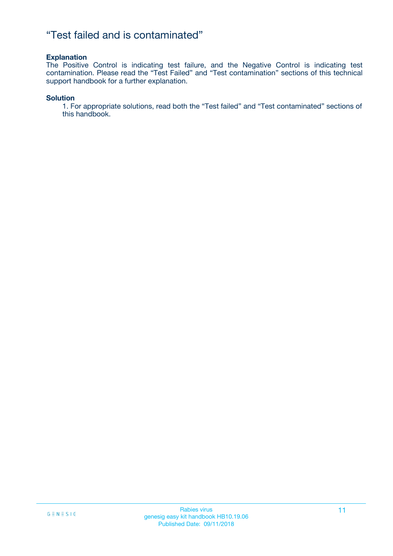### "Test failed and is contaminated"

#### **Explanation**

The Positive Control is indicating test failure, and the Negative Control is indicating test contamination. Please read the "Test Failed" and "Test contamination" sections of this technical support handbook for a further explanation.

#### **Solution**

1. For appropriate solutions, read both the "Test failed" and "Test contaminated" sections of this handbook.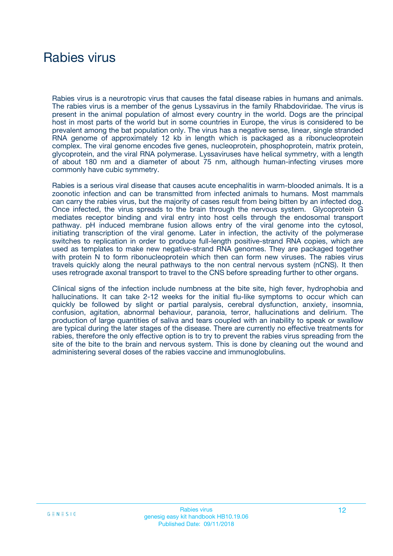## Rabies virus

Rabies virus is a neurotropic virus that causes the fatal disease rabies in humans and animals. The rabies virus is a member of the genus Lyssavirus in the family Rhabdoviridae. The virus is present in the animal population of almost every country in the world. Dogs are the principal host in most parts of the world but in some countries in Europe, the virus is considered to be prevalent among the bat population only. The virus has a negative sense, linear, single stranded RNA genome of approximately 12 kb in length which is packaged as a ribonucleoprotein complex. The viral genome encodes five genes, nucleoprotein, phosphoprotein, matrix protein, glycoprotein, and the viral RNA polymerase. Lyssaviruses have helical symmetry, with a length of about 180 nm and a diameter of about 75 nm, although human-infecting viruses more commonly have cubic symmetry.

Rabies is a serious viral disease that causes acute encephalitis in warm-blooded animals. It is a zoonotic infection and can be transmitted from infected animals to humans. Most mammals can carry the rabies virus, but the majority of cases result from being bitten by an infected dog. Once infected, the virus spreads to the brain through the nervous system. Glycoprotein G mediates receptor binding and viral entry into host cells through the endosomal transport pathway. pH induced membrane fusion allows entry of the viral genome into the cytosol, initiating transcription of the viral genome. Later in infection, the activity of the polymerase switches to replication in order to produce full-length positive-strand RNA copies, which are used as templates to make new negative-strand RNA genomes. They are packaged together with protein N to form ribonucleoprotein which then can form new viruses. The rabies virus travels quickly along the neural pathways to the non central nervous system (nCNS). It then uses retrograde axonal transport to travel to the CNS before spreading further to other organs.

Clinical signs of the infection include numbness at the bite site, high fever, hydrophobia and hallucinations. It can take 2-12 weeks for the initial flu-like symptoms to occur which can quickly be followed by slight or partial paralysis, cerebral dysfunction, anxiety, insomnia, confusion, agitation, abnormal behaviour, paranoia, terror, hallucinations and delirium. The production of large quantities of saliva and tears coupled with an inability to speak or swallow are typical during the later stages of the disease. There are currently no effective treatments for rabies, therefore the only effective option is to try to prevent the rabies virus spreading from the site of the bite to the brain and nervous system. This is done by cleaning out the wound and administering several doses of the rabies vaccine and immunoglobulins.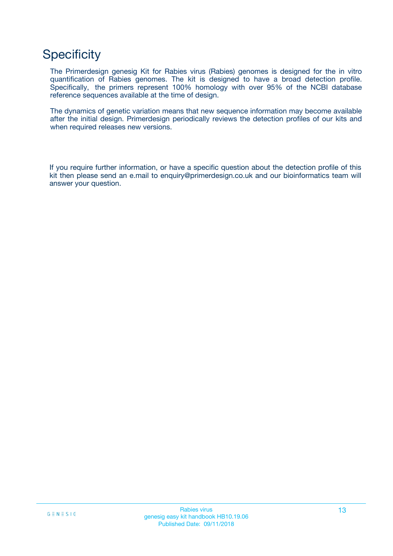## **Specificity**

The Primerdesign genesig Kit for Rabies virus (Rabies) genomes is designed for the in vitro quantification of Rabies genomes. The kit is designed to have a broad detection profile. Specifically, the primers represent 100% homology with over 95% of the NCBI database reference sequences available at the time of design.

The dynamics of genetic variation means that new sequence information may become available after the initial design. Primerdesign periodically reviews the detection profiles of our kits and when required releases new versions.

If you require further information, or have a specific question about the detection profile of this kit then please send an e.mail to enquiry@primerdesign.co.uk and our bioinformatics team will answer your question.